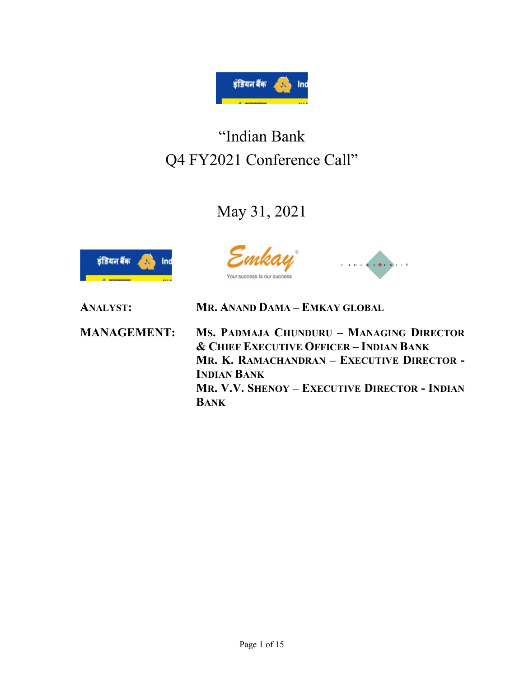

# "Indian Bank Q4 FY2021 Conference Call"

# May 31, 2021



s our success



ANALYST: MR. ANAND DAMA – EMKAY GLOBAL

MANAGEMENT: MS. PADMAJA CHUNDURU – MANAGING DIRECTOR & CHIEF EXECUTIVE OFFICER – INDIAN BANK MR. K. RAMACHANDRAN – EXECUTIVE DIRECTOR - INDIAN BANK MR. V.V. SHENOY – EXECUTIVE DIRECTOR - INDIAN BANK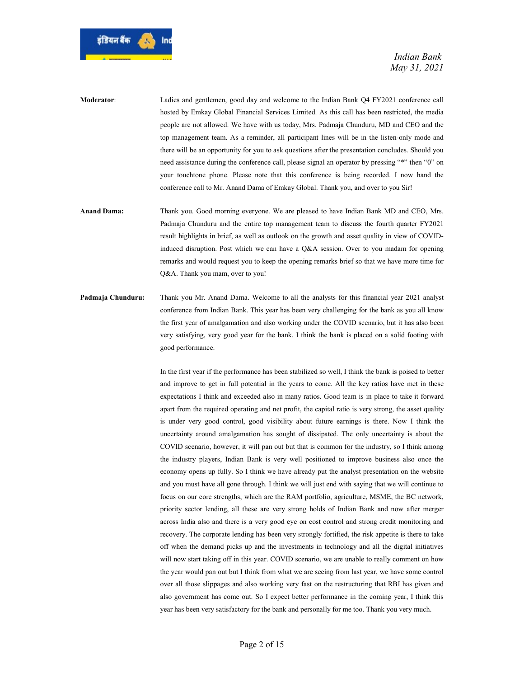

- Moderator: Ladies and gentlemen, good day and welcome to the Indian Bank Q4 FY2021 conference call hosted by Emkay Global Financial Services Limited. As this call has been restricted, the media people are not allowed. We have with us today, Mrs. Padmaja Chunduru, MD and CEO and the top management team. As a reminder, all participant lines will be in the listen-only mode and there will be an opportunity for you to ask questions after the presentation concludes. Should you need assistance during the conference call, please signal an operator by pressing "\*" then "0" on your touchtone phone. Please note that this conference is being recorded. I now hand the conference call to Mr. Anand Dama of Emkay Global. Thank you, and over to you Sir!
- Anand Dama: Thank you. Good morning everyone. We are pleased to have Indian Bank MD and CEO, Mrs. Padmaja Chunduru and the entire top management team to discuss the fourth quarter FY2021 result highlights in brief, as well as outlook on the growth and asset quality in view of COVIDinduced disruption. Post which we can have a Q&A session. Over to you madam for opening remarks and would request you to keep the opening remarks brief so that we have more time for Q&A. Thank you mam, over to you!
- Padmaja Chunduru: Thank you Mr. Anand Dama. Welcome to all the analysts for this financial year 2021 analyst conference from Indian Bank. This year has been very challenging for the bank as you all know the first year of amalgamation and also working under the COVID scenario, but it has also been very satisfying, very good year for the bank. I think the bank is placed on a solid footing with good performance.

 In the first year if the performance has been stabilized so well, I think the bank is poised to better and improve to get in full potential in the years to come. All the key ratios have met in these expectations I think and exceeded also in many ratios. Good team is in place to take it forward apart from the required operating and net profit, the capital ratio is very strong, the asset quality is under very good control, good visibility about future earnings is there. Now I think the uncertainty around amalgamation has sought of dissipated. The only uncertainty is about the COVID scenario, however, it will pan out but that is common for the industry, so I think among the industry players, Indian Bank is very well positioned to improve business also once the economy opens up fully. So I think we have already put the analyst presentation on the website and you must have all gone through. I think we will just end with saying that we will continue to focus on our core strengths, which are the RAM portfolio, agriculture, MSME, the BC network, priority sector lending, all these are very strong holds of Indian Bank and now after merger across India also and there is a very good eye on cost control and strong credit monitoring and recovery. The corporate lending has been very strongly fortified, the risk appetite is there to take off when the demand picks up and the investments in technology and all the digital initiatives will now start taking off in this year. COVID scenario, we are unable to really comment on how the year would pan out but I think from what we are seeing from last year, we have some control over all those slippages and also working very fast on the restructuring that RBI has given and also government has come out. So I expect better performance in the coming year, I think this year has been very satisfactory for the bank and personally for me too. Thank you very much.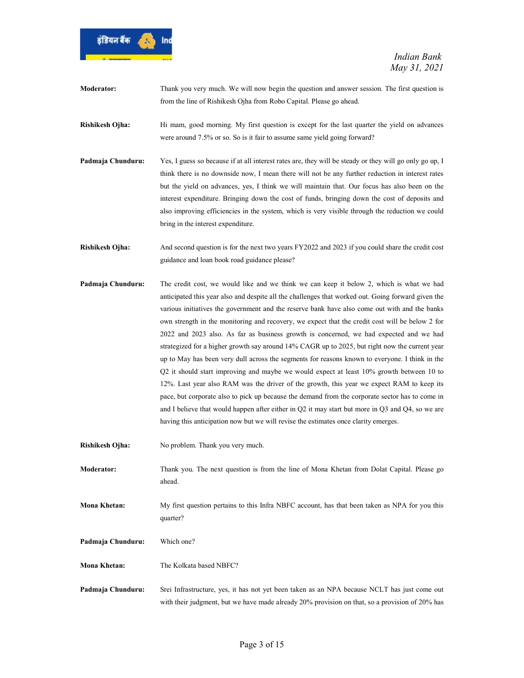

- Moderator: Thank you very much. We will now begin the question and answer session. The first question is from the line of Rishikesh Ojha from Robo Capital. Please go ahead.
- Rishikesh Ojha: Hi mam, good morning. My first question is except for the last quarter the yield on advances were around 7.5% or so. So is it fair to assume same yield going forward?
- Padmaja Chunduru: Yes, I guess so because if at all interest rates are, they will be steady or they will go only go up, I think there is no downside now, I mean there will not be any further reduction in interest rates but the yield on advances, yes, I think we will maintain that. Our focus has also been on the interest expenditure. Bringing down the cost of funds, bringing down the cost of deposits and also improving efficiencies in the system, which is very visible through the reduction we could bring in the interest expenditure.
- Rishikesh Ojha: And second question is for the next two years FY2022 and 2023 if you could share the credit cost guidance and loan book road guidance please?
- Padmaja Chunduru: The credit cost, we would like and we think we can keep it below 2, which is what we had anticipated this year also and despite all the challenges that worked out. Going forward given the various initiatives the government and the reserve bank have also come out with and the banks own strength in the monitoring and recovery, we expect that the credit cost will be below 2 for 2022 and 2023 also. As far as business growth is concerned, we had expected and we had strategized for a higher growth say around 14% CAGR up to 2025, but right now the current year up to May has been very dull across the segments for reasons known to everyone. I think in the Q2 it should start improving and maybe we would expect at least 10% growth between 10 to 12%. Last year also RAM was the driver of the growth, this year we expect RAM to keep its pace, but corporate also to pick up because the demand from the corporate sector has to come in and I believe that would happen after either in Q2 it may start but more in Q3 and Q4, so we are having this anticipation now but we will revise the estimates once clarity emerges.
- Rishikesh Ojha: No problem. Thank you very much.
- Moderator: Thank you. The next question is from the line of Mona Khetan from Dolat Capital. Please go ahead.
- Mona Khetan: My first question pertains to this Infra NBFC account, has that been taken as NPA for you this quarter?
- Padmaja Chunduru: Which one?
- Mona Khetan: The Kolkata based NBFC?
- Padmaja Chunduru: Srei Infrastructure, yes, it has not yet been taken as an NPA because NCLT has just come out with their judgment, but we have made already 20% provision on that, so a provision of 20% has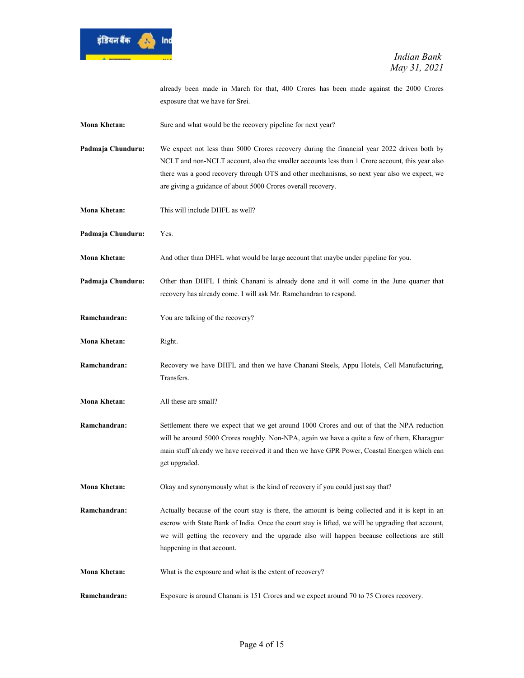

already been made in March for that, 400 Crores has been made against the 2000 Crores exposure that we have for Srei.

Mona Khetan: Sure and what would be the recovery pipeline for next year?

Padmaja Chunduru: We expect not less than 5000 Crores recovery during the financial year 2022 driven both by NCLT and non-NCLT account, also the smaller accounts less than 1 Crore account, this year also there was a good recovery through OTS and other mechanisms, so next year also we expect, we are giving a guidance of about 5000 Crores overall recovery.

- Mona Khetan: This will include DHFL as well?
- Padmaja Chunduru: Yes.
- Mona Khetan: And other than DHFL what would be large account that maybe under pipeline for you.

Padmaja Chunduru: Other than DHFL I think Chanani is already done and it will come in the June quarter that recovery has already come. I will ask Mr. Ramchandran to respond.

- Ramchandran: You are talking of the recovery?
- Mona Khetan: Right.
- Ramchandran: Recovery we have DHFL and then we have Chanani Steels, Appu Hotels, Cell Manufacturing, Transfers.
- Mona Khetan: All these are small?
- Ramchandran: Settlement there we expect that we get around 1000 Crores and out of that the NPA reduction will be around 5000 Crores roughly. Non-NPA, again we have a quite a few of them, Kharagpur main stuff already we have received it and then we have GPR Power, Coastal Energen which can get upgraded.
- Mona Khetan: Okay and synonymously what is the kind of recovery if you could just say that?
- **Ramchandran:** Actually because of the court stay is there, the amount is being collected and it is kept in an escrow with State Bank of India. Once the court stay is lifted, we will be upgrading that account, we will getting the recovery and the upgrade also will happen because collections are still happening in that account.
- Mona Khetan: What is the exposure and what is the extent of recovery?
- Ramchandran: Exposure is around Chanani is 151 Crores and we expect around 70 to 75 Crores recovery.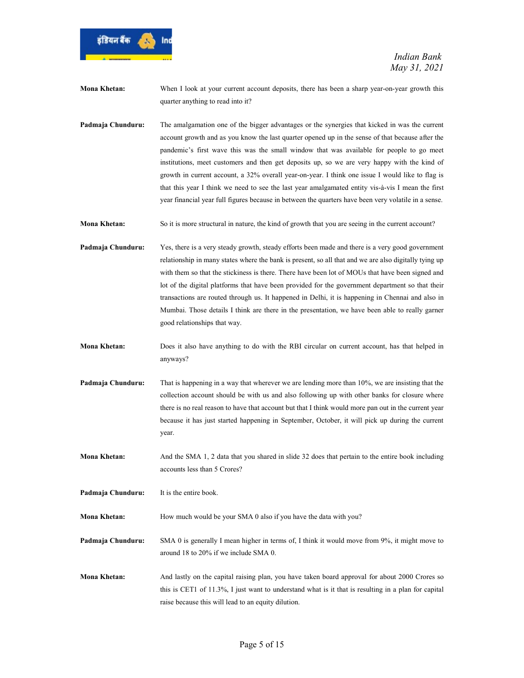

Mona Khetan: When I look at your current account deposits, there has been a sharp year-on-year growth this quarter anything to read into it?

Padmaja Chunduru: The amalgamation one of the bigger advantages or the synergies that kicked in was the current account growth and as you know the last quarter opened up in the sense of that because after the pandemic's first wave this was the small window that was available for people to go meet institutions, meet customers and then get deposits up, so we are very happy with the kind of growth in current account, a 32% overall year-on-year. I think one issue I would like to flag is that this year I think we need to see the last year amalgamated entity vis-à-vis I mean the first year financial year full figures because in between the quarters have been very volatile in a sense.

Mona Khetan: So it is more structural in nature, the kind of growth that you are seeing in the current account?

Padmaja Chunduru: Yes, there is a very steady growth, steady efforts been made and there is a very good government relationship in many states where the bank is present, so all that and we are also digitally tying up with them so that the stickiness is there. There have been lot of MOUs that have been signed and lot of the digital platforms that have been provided for the government department so that their transactions are routed through us. It happened in Delhi, it is happening in Chennai and also in Mumbai. Those details I think are there in the presentation, we have been able to really garner good relationships that way.

- Mona Khetan: Does it also have anything to do with the RBI circular on current account, has that helped in anyways?
- Padmaja Chunduru: That is happening in a way that wherever we are lending more than 10%, we are insisting that the collection account should be with us and also following up with other banks for closure where there is no real reason to have that account but that I think would more pan out in the current year because it has just started happening in September, October, it will pick up during the current year.

Mona Khetan: And the SMA 1, 2 data that you shared in slide 32 does that pertain to the entire book including accounts less than 5 Crores?

Padmaja Chunduru: It is the entire book.

Mona Khetan: How much would be your SMA 0 also if you have the data with you?

Padmaja Chunduru: SMA 0 is generally I mean higher in terms of, I think it would move from 9%, it might move to around 18 to 20% if we include SMA 0.

Mona Khetan: And lastly on the capital raising plan, you have taken board approval for about 2000 Crores so this is CET1 of 11.3%, I just want to understand what is it that is resulting in a plan for capital raise because this will lead to an equity dilution.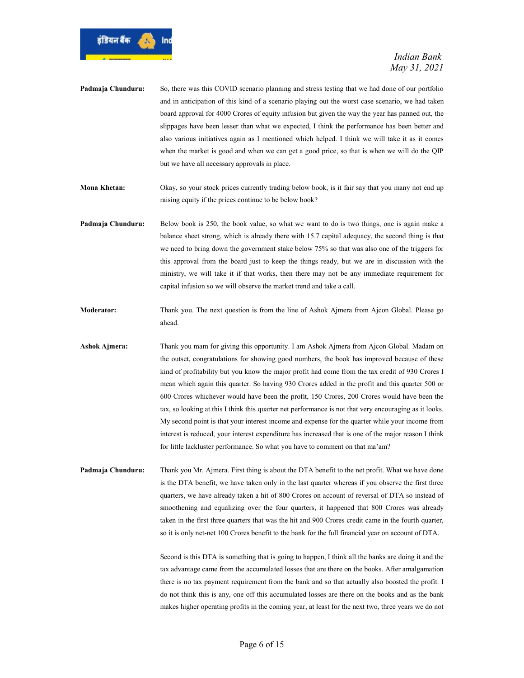

- Padmaja Chunduru: So, there was this COVID scenario planning and stress testing that we had done of our portfolio and in anticipation of this kind of a scenario playing out the worst case scenario, we had taken board approval for 4000 Crores of equity infusion but given the way the year has panned out, the slippages have been lesser than what we expected, I think the performance has been better and also various initiatives again as I mentioned which helped. I think we will take it as it comes when the market is good and when we can get a good price, so that is when we will do the QIP but we have all necessary approvals in place.
- Mona Khetan: Okay, so your stock prices currently trading below book, is it fair say that you many not end up raising equity if the prices continue to be below book?
- Padmaja Chunduru: Below book is 250, the book value, so what we want to do is two things, one is again make a balance sheet strong, which is already there with 15.7 capital adequacy, the second thing is that we need to bring down the government stake below 75% so that was also one of the triggers for this approval from the board just to keep the things ready, but we are in discussion with the ministry, we will take it if that works, then there may not be any immediate requirement for capital infusion so we will observe the market trend and take a call.
- Moderator: Thank you. The next question is from the line of Ashok Ajmera from Ajcon Global. Please go ahead.
- Ashok Ajmera: Thank you mam for giving this opportunity. I am Ashok Ajmera from Ajcon Global. Madam on the outset, congratulations for showing good numbers, the book has improved because of these kind of profitability but you know the major profit had come from the tax credit of 930 Crores I mean which again this quarter. So having 930 Crores added in the profit and this quarter 500 or 600 Crores whichever would have been the profit, 150 Crores, 200 Crores would have been the tax, so looking at this I think this quarter net performance is not that very encouraging as it looks. My second point is that your interest income and expense for the quarter while your income from interest is reduced, your interest expenditure has increased that is one of the major reason I think for little lackluster performance. So what you have to comment on that ma'am?
- Padmaja Chunduru: Thank you Mr. Ajmera. First thing is about the DTA benefit to the net profit. What we have done is the DTA benefit, we have taken only in the last quarter whereas if you observe the first three quarters, we have already taken a hit of 800 Crores on account of reversal of DTA so instead of smoothening and equalizing over the four quarters, it happened that 800 Crores was already taken in the first three quarters that was the hit and 900 Crores credit came in the fourth quarter, so it is only net-net 100 Crores benefit to the bank for the full financial year on account of DTA.

 Second is this DTA is something that is going to happen, I think all the banks are doing it and the tax advantage came from the accumulated losses that are there on the books. After amalgamation there is no tax payment requirement from the bank and so that actually also boosted the profit. I do not think this is any, one off this accumulated losses are there on the books and as the bank makes higher operating profits in the coming year, at least for the next two, three years we do not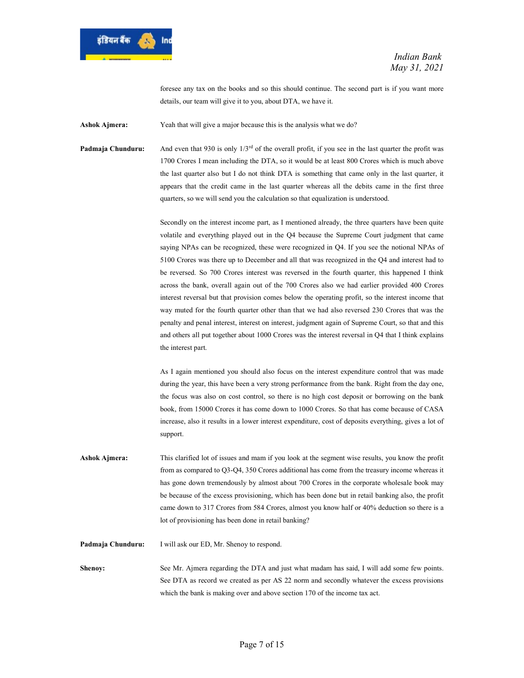

foresee any tax on the books and so this should continue. The second part is if you want more details, our team will give it to you, about DTA, we have it.

Ashok Ajmera: Yeah that will give a major because this is the analysis what we do?

**Padmaja Chunduru:** And even that 930 is only  $1/3^{rd}$  of the overall profit, if you see in the last quarter the profit was 1700 Crores I mean including the DTA, so it would be at least 800 Crores which is much above the last quarter also but I do not think DTA is something that came only in the last quarter, it appears that the credit came in the last quarter whereas all the debits came in the first three quarters, so we will send you the calculation so that equalization is understood.

> Secondly on the interest income part, as I mentioned already, the three quarters have been quite volatile and everything played out in the Q4 because the Supreme Court judgment that came saying NPAs can be recognized, these were recognized in Q4. If you see the notional NPAs of 5100 Crores was there up to December and all that was recognized in the Q4 and interest had to be reversed. So 700 Crores interest was reversed in the fourth quarter, this happened I think across the bank, overall again out of the 700 Crores also we had earlier provided 400 Crores interest reversal but that provision comes below the operating profit, so the interest income that way muted for the fourth quarter other than that we had also reversed 230 Crores that was the penalty and penal interest, interest on interest, judgment again of Supreme Court, so that and this and others all put together about 1000 Crores was the interest reversal in Q4 that I think explains the interest part.

> As I again mentioned you should also focus on the interest expenditure control that was made during the year, this have been a very strong performance from the bank. Right from the day one, the focus was also on cost control, so there is no high cost deposit or borrowing on the bank book, from 15000 Crores it has come down to 1000 Crores. So that has come because of CASA increase, also it results in a lower interest expenditure, cost of deposits everything, gives a lot of support.

Ashok Ajmera: This clarified lot of issues and mam if you look at the segment wise results, you know the profit from as compared to Q3-Q4, 350 Crores additional has come from the treasury income whereas it has gone down tremendously by almost about 700 Crores in the corporate wholesale book may be because of the excess provisioning, which has been done but in retail banking also, the profit came down to 317 Crores from 584 Crores, almost you know half or 40% deduction so there is a lot of provisioning has been done in retail banking?

Padmaja Chunduru: I will ask our ED, Mr. Shenoy to respond.

Shenoy: See Mr. Ajmera regarding the DTA and just what madam has said, I will add some few points. See DTA as record we created as per AS 22 norm and secondly whatever the excess provisions which the bank is making over and above section 170 of the income tax act.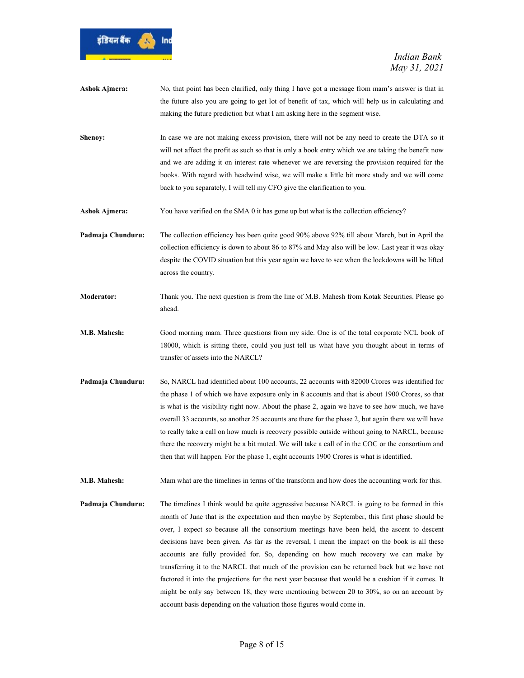

- Ashok Ajmera: No, that point has been clarified, only thing I have got a message from mam's answer is that in the future also you are going to get lot of benefit of tax, which will help us in calculating and making the future prediction but what I am asking here in the segment wise.
- Shenoy: In case we are not making excess provision, there will not be any need to create the DTA so it will not affect the profit as such so that is only a book entry which we are taking the benefit now and we are adding it on interest rate whenever we are reversing the provision required for the books. With regard with headwind wise, we will make a little bit more study and we will come back to you separately, I will tell my CFO give the clarification to you.
- Ashok Ajmera: You have verified on the SMA 0 it has gone up but what is the collection efficiency?

Padmaja Chunduru: The collection efficiency has been quite good 90% above 92% till about March, but in April the collection efficiency is down to about 86 to 87% and May also will be low. Last year it was okay despite the COVID situation but this year again we have to see when the lockdowns will be lifted across the country.

- Moderator: Thank you. The next question is from the line of M.B. Mahesh from Kotak Securities. Please go ahead.
- M.B. Mahesh: Good morning mam. Three questions from my side. One is of the total corporate NCL book of 18000, which is sitting there, could you just tell us what have you thought about in terms of transfer of assets into the NARCL?
- Padmaja Chunduru: So, NARCL had identified about 100 accounts, 22 accounts with 82000 Crores was identified for the phase 1 of which we have exposure only in 8 accounts and that is about 1900 Crores, so that is what is the visibility right now. About the phase 2, again we have to see how much, we have overall 33 accounts, so another 25 accounts are there for the phase 2, but again there we will have to really take a call on how much is recovery possible outside without going to NARCL, because there the recovery might be a bit muted. We will take a call of in the COC or the consortium and then that will happen. For the phase 1, eight accounts 1900 Crores is what is identified.

M.B. Mahesh: Mam what are the timelines in terms of the transform and how does the accounting work for this.

Padmaja Chunduru: The timelines I think would be quite aggressive because NARCL is going to be formed in this month of June that is the expectation and then maybe by September, this first phase should be over, I expect so because all the consortium meetings have been held, the ascent to descent decisions have been given. As far as the reversal, I mean the impact on the book is all these accounts are fully provided for. So, depending on how much recovery we can make by transferring it to the NARCL that much of the provision can be returned back but we have not factored it into the projections for the next year because that would be a cushion if it comes. It might be only say between 18, they were mentioning between 20 to 30%, so on an account by account basis depending on the valuation those figures would come in.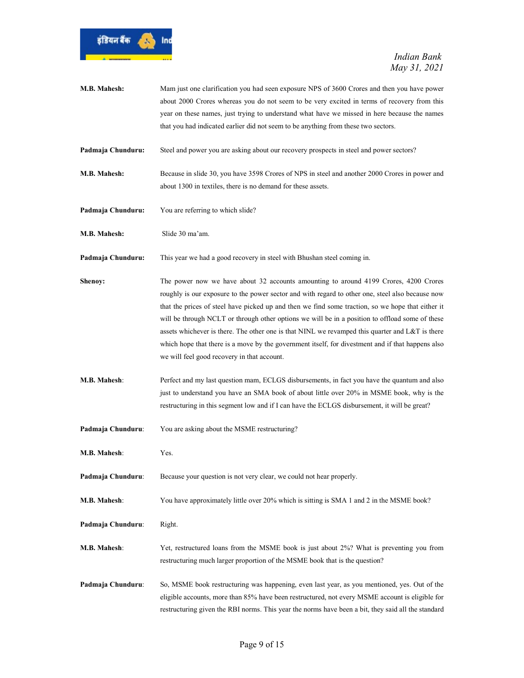

| M.B. Mahesh:      | Mam just one clarification you had seen exposure NPS of 3600 Crores and then you have power<br>about 2000 Crores whereas you do not seem to be very excited in terms of recovery from this<br>year on these names, just trying to understand what have we missed in here because the names<br>that you had indicated earlier did not seem to be anything from these two sectors.                                                                                                                                                                                                                                                                        |
|-------------------|---------------------------------------------------------------------------------------------------------------------------------------------------------------------------------------------------------------------------------------------------------------------------------------------------------------------------------------------------------------------------------------------------------------------------------------------------------------------------------------------------------------------------------------------------------------------------------------------------------------------------------------------------------|
| Padmaja Chunduru: | Steel and power you are asking about our recovery prospects in steel and power sectors?                                                                                                                                                                                                                                                                                                                                                                                                                                                                                                                                                                 |
| M.B. Mahesh:      | Because in slide 30, you have 3598 Crores of NPS in steel and another 2000 Crores in power and<br>about 1300 in textiles, there is no demand for these assets.                                                                                                                                                                                                                                                                                                                                                                                                                                                                                          |
| Padmaja Chunduru: | You are referring to which slide?                                                                                                                                                                                                                                                                                                                                                                                                                                                                                                                                                                                                                       |
| M.B. Mahesh:      | Slide 30 ma'am.                                                                                                                                                                                                                                                                                                                                                                                                                                                                                                                                                                                                                                         |
| Padmaja Chunduru: | This year we had a good recovery in steel with Bhushan steel coming in.                                                                                                                                                                                                                                                                                                                                                                                                                                                                                                                                                                                 |
| Shenoy:           | The power now we have about 32 accounts amounting to around 4199 Crores, 4200 Crores<br>roughly is our exposure to the power sector and with regard to other one, steel also because now<br>that the prices of steel have picked up and then we find some traction, so we hope that either it<br>will be through NCLT or through other options we will be in a position to offload some of these<br>assets whichever is there. The other one is that NINL we revamped this quarter and L&T is there<br>which hope that there is a move by the government itself, for divestment and if that happens also<br>we will feel good recovery in that account. |
| M.B. Mahesh:      | Perfect and my last question mam, ECLGS disbursements, in fact you have the quantum and also<br>just to understand you have an SMA book of about little over 20% in MSME book, why is the<br>restructuring in this segment low and if I can have the ECLGS disbursement, it will be great?                                                                                                                                                                                                                                                                                                                                                              |
| Padmaja Chunduru: | You are asking about the MSME restructuring?                                                                                                                                                                                                                                                                                                                                                                                                                                                                                                                                                                                                            |
| M.B. Mahesh:      | Yes.                                                                                                                                                                                                                                                                                                                                                                                                                                                                                                                                                                                                                                                    |
| Padmaja Chunduru: | Because your question is not very clear, we could not hear properly.                                                                                                                                                                                                                                                                                                                                                                                                                                                                                                                                                                                    |
| M.B. Mahesh:      | You have approximately little over 20% which is sitting is SMA 1 and 2 in the MSME book?                                                                                                                                                                                                                                                                                                                                                                                                                                                                                                                                                                |
| Padmaja Chunduru: | Right.                                                                                                                                                                                                                                                                                                                                                                                                                                                                                                                                                                                                                                                  |
| M.B. Mahesh:      | Yet, restructured loans from the MSME book is just about 2%? What is preventing you from<br>restructuring much larger proportion of the MSME book that is the question?                                                                                                                                                                                                                                                                                                                                                                                                                                                                                 |
| Padmaja Chunduru: | So, MSME book restructuring was happening, even last year, as you mentioned, yes. Out of the<br>eligible accounts, more than 85% have been restructured, not every MSME account is eligible for<br>restructuring given the RBI norms. This year the norms have been a bit, they said all the standard                                                                                                                                                                                                                                                                                                                                                   |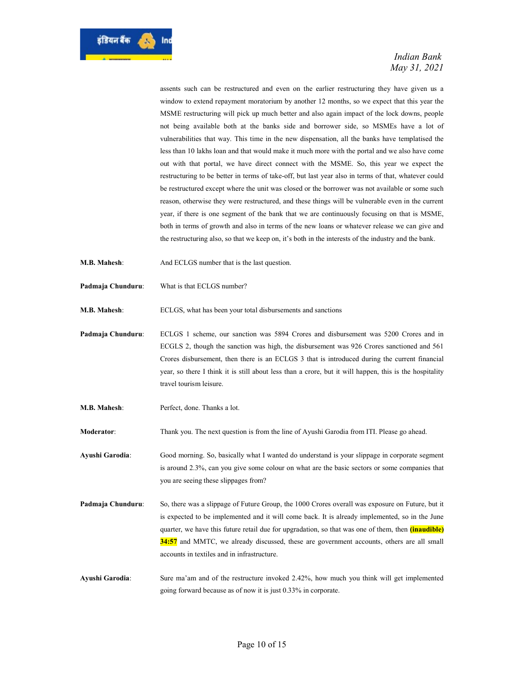

assents such can be restructured and even on the earlier restructuring they have given us a window to extend repayment moratorium by another 12 months, so we expect that this year the MSME restructuring will pick up much better and also again impact of the lock downs, people not being available both at the banks side and borrower side, so MSMEs have a lot of vulnerabilities that way. This time in the new dispensation, all the banks have templatised the less than 10 lakhs loan and that would make it much more with the portal and we also have come out with that portal, we have direct connect with the MSME. So, this year we expect the restructuring to be better in terms of take-off, but last year also in terms of that, whatever could be restructured except where the unit was closed or the borrower was not available or some such reason, otherwise they were restructured, and these things will be vulnerable even in the current year, if there is one segment of the bank that we are continuously focusing on that is MSME, both in terms of growth and also in terms of the new loans or whatever release we can give and the restructuring also, so that we keep on, it's both in the interests of the industry and the bank.

- M.B. Mahesh: And ECLGS number that is the last question.
- Padmaja Chunduru: What is that ECLGS number?

M.B. Mahesh: ECLGS, what has been your total disbursements and sanctions

Padmaja Chunduru: ECLGS 1 scheme, our sanction was 5894 Crores and disbursement was 5200 Crores and in ECGLS 2, though the sanction was high, the disbursement was 926 Crores sanctioned and 561 Crores disbursement, then there is an ECLGS 3 that is introduced during the current financial year, so there I think it is still about less than a crore, but it will happen, this is the hospitality travel tourism leisure.

M.B. Mahesh: Perfect, done. Thanks a lot.

Moderator: Thank you. The next question is from the line of Ayushi Garodia from ITI. Please go ahead.

Ayushi Garodia: Good morning. So, basically what I wanted do understand is your slippage in corporate segment is around 2.3%, can you give some colour on what are the basic sectors or some companies that you are seeing these slippages from?

- Padmaja Chunduru: So, there was a slippage of Future Group, the 1000 Crores overall was exposure on Future, but it is expected to be implemented and it will come back. It is already implemented, so in the June quarter, we have this future retail due for upgradation, so that was one of them, then *(inaudible)* 34:57 and MMTC, we already discussed, these are government accounts, others are all small accounts in textiles and in infrastructure.
- Ayushi Garodia: Sure ma'am and of the restructure invoked 2.42%, how much you think will get implemented going forward because as of now it is just 0.33% in corporate.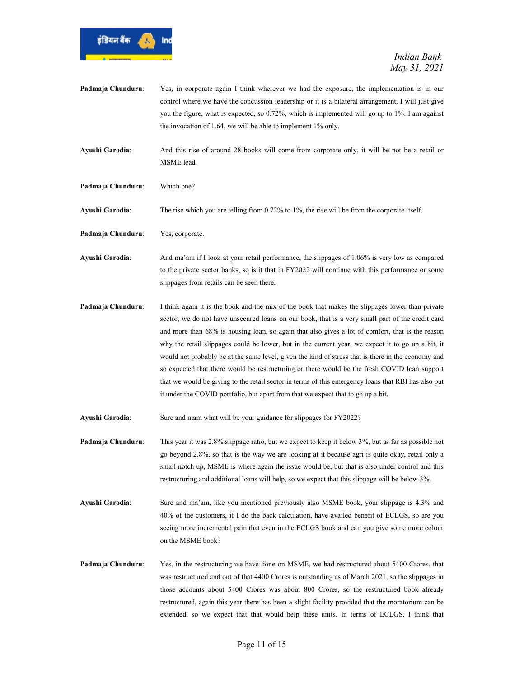

- Padmaja Chunduru: Yes, in corporate again I think wherever we had the exposure, the implementation is in our control where we have the concussion leadership or it is a bilateral arrangement, I will just give you the figure, what is expected, so 0.72%, which is implemented will go up to 1%. I am against the invocation of 1.64, we will be able to implement 1% only.
- Ayushi Garodia: And this rise of around 28 books will come from corporate only, it will be not be a retail or MSME lead.
- Padmaja Chunduru: Which one?

Ayushi Garodia: The rise which you are telling from 0.72% to 1%, the rise will be from the corporate itself.

- Padmaja Chunduru: Yes, corporate.
- Ayushi Garodia: And ma'am if I look at your retail performance, the slippages of 1.06% is very low as compared to the private sector banks, so is it that in FY2022 will continue with this performance or some slippages from retails can be seen there.
- Padmaja Chunduru: I think again it is the book and the mix of the book that makes the slippages lower than private sector, we do not have unsecured loans on our book, that is a very small part of the credit card and more than 68% is housing loan, so again that also gives a lot of comfort, that is the reason why the retail slippages could be lower, but in the current year, we expect it to go up a bit, it would not probably be at the same level, given the kind of stress that is there in the economy and so expected that there would be restructuring or there would be the fresh COVID loan support that we would be giving to the retail sector in terms of this emergency loans that RBI has also put it under the COVID portfolio, but apart from that we expect that to go up a bit.
- Ayushi Garodia: Sure and mam what will be your guidance for slippages for FY2022?
- Padmaja Chunduru: This year it was 2.8% slippage ratio, but we expect to keep it below 3%, but as far as possible not go beyond 2.8%, so that is the way we are looking at it because agri is quite okay, retail only a small notch up, MSME is where again the issue would be, but that is also under control and this restructuring and additional loans will help, so we expect that this slippage will be below 3%.
- Ayushi Garodia: Sure and ma'am, like you mentioned previously also MSME book, your slippage is 4.3% and 40% of the customers, if I do the back calculation, have availed benefit of ECLGS, so are you seeing more incremental pain that even in the ECLGS book and can you give some more colour on the MSME book?
- Padmaja Chunduru: Yes, in the restructuring we have done on MSME, we had restructured about 5400 Crores, that was restructured and out of that 4400 Crores is outstanding as of March 2021, so the slippages in those accounts about 5400 Crores was about 800 Crores, so the restructured book already restructured, again this year there has been a slight facility provided that the moratorium can be extended, so we expect that that would help these units. In terms of ECLGS, I think that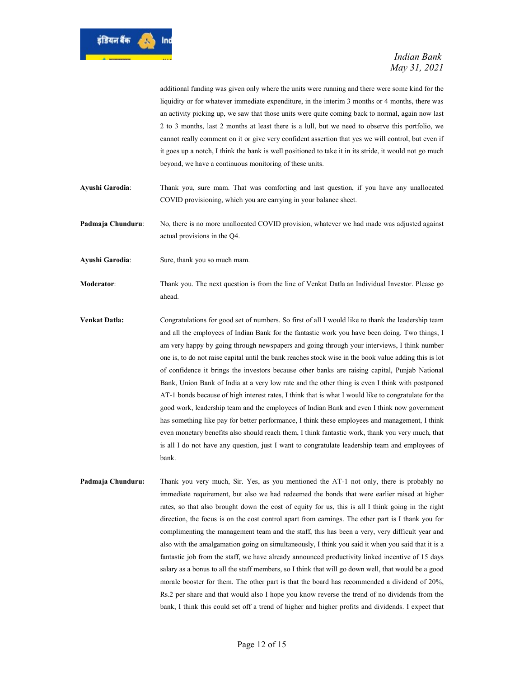

additional funding was given only where the units were running and there were some kind for the liquidity or for whatever immediate expenditure, in the interim 3 months or 4 months, there was an activity picking up, we saw that those units were quite coming back to normal, again now last 2 to 3 months, last 2 months at least there is a lull, but we need to observe this portfolio, we cannot really comment on it or give very confident assertion that yes we will control, but even if it goes up a notch, I think the bank is well positioned to take it in its stride, it would not go much beyond, we have a continuous monitoring of these units.

Ayushi Garodia: Thank you, sure mam. That was comforting and last question, if you have any unallocated COVID provisioning, which you are carrying in your balance sheet.

Padmaja Chunduru: No, there is no more unallocated COVID provision, whatever we had made was adjusted against actual provisions in the Q4.

Ayushi Garodia: Sure, thank you so much mam.

Moderator: Thank you. The next question is from the line of Venkat Datla an Individual Investor. Please go ahead.

- Venkat Datla: Congratulations for good set of numbers. So first of all I would like to thank the leadership team and all the employees of Indian Bank for the fantastic work you have been doing. Two things, I am very happy by going through newspapers and going through your interviews, I think number one is, to do not raise capital until the bank reaches stock wise in the book value adding this is lot of confidence it brings the investors because other banks are raising capital, Punjab National Bank, Union Bank of India at a very low rate and the other thing is even I think with postponed AT-1 bonds because of high interest rates, I think that is what I would like to congratulate for the good work, leadership team and the employees of Indian Bank and even I think now government has something like pay for better performance, I think these employees and management, I think even monetary benefits also should reach them, I think fantastic work, thank you very much, that is all I do not have any question, just I want to congratulate leadership team and employees of bank.
- Padmaja Chunduru: Thank you very much, Sir. Yes, as you mentioned the AT-1 not only, there is probably no immediate requirement, but also we had redeemed the bonds that were earlier raised at higher rates, so that also brought down the cost of equity for us, this is all I think going in the right direction, the focus is on the cost control apart from earnings. The other part is I thank you for complimenting the management team and the staff, this has been a very, very difficult year and also with the amalgamation going on simultaneously, I think you said it when you said that it is a fantastic job from the staff, we have already announced productivity linked incentive of 15 days salary as a bonus to all the staff members, so I think that will go down well, that would be a good morale booster for them. The other part is that the board has recommended a dividend of 20%, Rs.2 per share and that would also I hope you know reverse the trend of no dividends from the bank, I think this could set off a trend of higher and higher profits and dividends. I expect that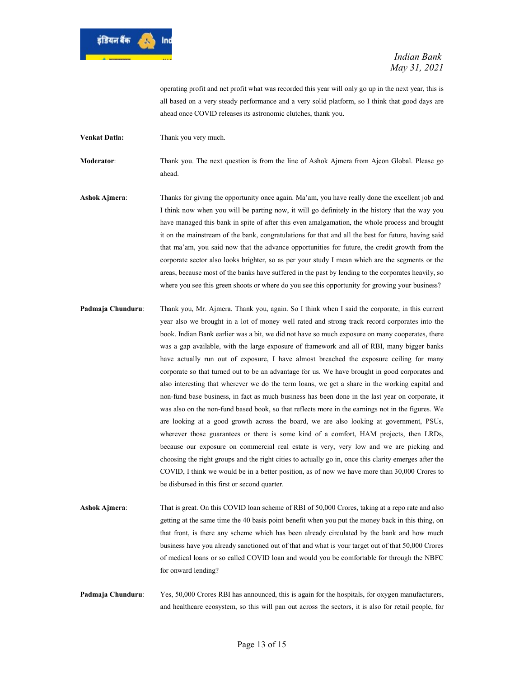

operating profit and net profit what was recorded this year will only go up in the next year, this is all based on a very steady performance and a very solid platform, so I think that good days are ahead once COVID releases its astronomic clutches, thank you.

Venkat Datla: Thank you very much.

Moderator: Thank you. The next question is from the line of Ashok Ajmera from Ajcon Global. Please go ahead.

- Ashok Ajmera: Thanks for giving the opportunity once again. Ma'am, you have really done the excellent job and I think now when you will be parting now, it will go definitely in the history that the way you have managed this bank in spite of after this even amalgamation, the whole process and brought it on the mainstream of the bank, congratulations for that and all the best for future, having said that ma'am, you said now that the advance opportunities for future, the credit growth from the corporate sector also looks brighter, so as per your study I mean which are the segments or the areas, because most of the banks have suffered in the past by lending to the corporates heavily, so where you see this green shoots or where do you see this opportunity for growing your business?
- Padmaja Chunduru: Thank you, Mr. Ajmera. Thank you, again. So I think when I said the corporate, in this current year also we brought in a lot of money well rated and strong track record corporates into the book. Indian Bank earlier was a bit, we did not have so much exposure on many cooperates, there was a gap available, with the large exposure of framework and all of RBI, many bigger banks have actually run out of exposure, I have almost breached the exposure ceiling for many corporate so that turned out to be an advantage for us. We have brought in good corporates and also interesting that wherever we do the term loans, we get a share in the working capital and non-fund base business, in fact as much business has been done in the last year on corporate, it was also on the non-fund based book, so that reflects more in the earnings not in the figures. We are looking at a good growth across the board, we are also looking at government, PSUs, wherever those guarantees or there is some kind of a comfort, HAM projects, then LRDs, because our exposure on commercial real estate is very, very low and we are picking and choosing the right groups and the right cities to actually go in, once this clarity emerges after the COVID, I think we would be in a better position, as of now we have more than 30,000 Crores to be disbursed in this first or second quarter.
- Ashok Ajmera: That is great. On this COVID loan scheme of RBI of 50,000 Crores, taking at a repo rate and also getting at the same time the 40 basis point benefit when you put the money back in this thing, on that front, is there any scheme which has been already circulated by the bank and how much business have you already sanctioned out of that and what is your target out of that 50,000 Crores of medical loans or so called COVID loan and would you be comfortable for through the NBFC for onward lending?
- Padmaja Chunduru: Yes, 50,000 Crores RBI has announced, this is again for the hospitals, for oxygen manufacturers, and healthcare ecosystem, so this will pan out across the sectors, it is also for retail people, for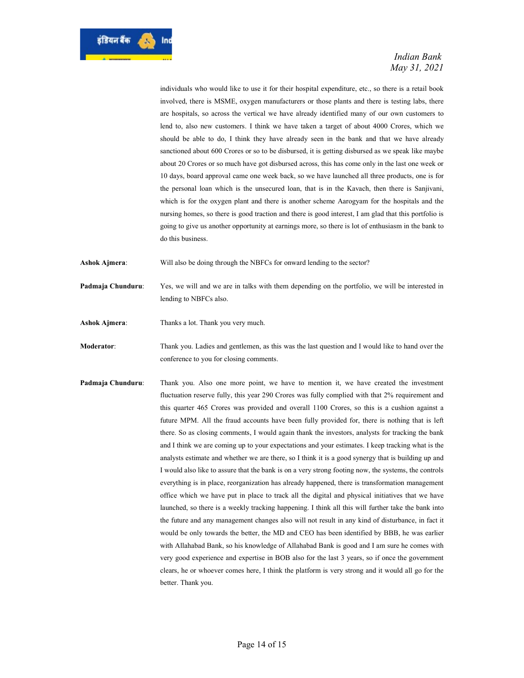

individuals who would like to use it for their hospital expenditure, etc., so there is a retail book involved, there is MSME, oxygen manufacturers or those plants and there is testing labs, there are hospitals, so across the vertical we have already identified many of our own customers to lend to, also new customers. I think we have taken a target of about 4000 Crores, which we should be able to do, I think they have already seen in the bank and that we have already sanctioned about 600 Crores or so to be disbursed, it is getting disbursed as we speak like maybe about 20 Crores or so much have got disbursed across, this has come only in the last one week or 10 days, board approval came one week back, so we have launched all three products, one is for the personal loan which is the unsecured loan, that is in the Kavach, then there is Sanjivani, which is for the oxygen plant and there is another scheme Aarogyam for the hospitals and the nursing homes, so there is good traction and there is good interest, I am glad that this portfolio is going to give us another opportunity at earnings more, so there is lot of enthusiasm in the bank to do this business.

Ashok Ajmera: Will also be doing through the NBFCs for onward lending to the sector?

Padmaja Chunduru: Yes, we will and we are in talks with them depending on the portfolio, we will be interested in lending to NBFCs also.

Ashok Ajmera: Thanks a lot. Thank you very much.

Moderator: Thank you. Ladies and gentlemen, as this was the last question and I would like to hand over the conference to you for closing comments.

Padmaja Chunduru: Thank you. Also one more point, we have to mention it, we have created the investment fluctuation reserve fully, this year 290 Crores was fully complied with that 2% requirement and this quarter 465 Crores was provided and overall 1100 Crores, so this is a cushion against a future MPM. All the fraud accounts have been fully provided for, there is nothing that is left there. So as closing comments, I would again thank the investors, analysts for tracking the bank and I think we are coming up to your expectations and your estimates. I keep tracking what is the analysts estimate and whether we are there, so I think it is a good synergy that is building up and I would also like to assure that the bank is on a very strong footing now, the systems, the controls everything is in place, reorganization has already happened, there is transformation management office which we have put in place to track all the digital and physical initiatives that we have launched, so there is a weekly tracking happening. I think all this will further take the bank into the future and any management changes also will not result in any kind of disturbance, in fact it would be only towards the better, the MD and CEO has been identified by BBB, he was earlier with Allahabad Bank, so his knowledge of Allahabad Bank is good and I am sure he comes with very good experience and expertise in BOB also for the last 3 years, so if once the government clears, he or whoever comes here, I think the platform is very strong and it would all go for the better. Thank you.